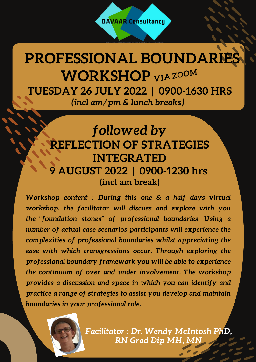## **PROFESSIONAL BOUNDARIE WORKSHOP** *VIA ZOOM* **TUESDAY 26 JULY 2022 | 0900-1630 HRS** *(incl am/pm & lunch breaks)*

## *followed by* **REFLECTION OF STRATEGIES INTEGRATED 9 AUGUST 2022 | 0900-1230 hrs (incl am break)**

*Workshop content : During this one & a half days virtual workshop, the facilitator will discuss and explore with you the "foundation stones" of professional boundaries. Using a number of actual case scenarios participants will experience the complexities of professional boundaries whilst appreciating the ease with which transgressions occur. Through exploring the professional boundary framework you will be able to experience the continuum of over and under involvement. The workshop provides a discussion and space in which you can identify and practice a range of strategies to assist you develop and maintain boundaries in your professional role.*



*Facilitator : Dr. Wendy McIntosh PhD, RN Grad Dip MH, MN*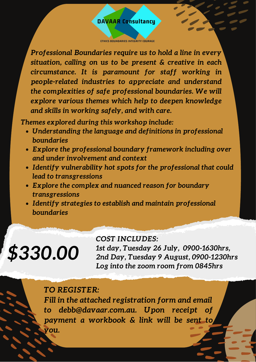#### **DAVAAR Consultancy**

ETHICS BOUNDARIES INTEGRITY COURAGE

*Professional Boundaries require us to hold a line in every situation, calling on us to be present & creative in each circumstance. It is paramount for staff working in people-related industries to appreciate and understand the complexities of safe professional boundaries. We will explore various themes which help to deepen knowledge and skills in working safely, and with care.*

*Themes explored during this workshop include:*

- *Understanding the language and definitions in professional boundaries*
- *Explore the professional boundary framework including over and under involvement and context*
- *Identify vulnerability hot spots for the professional that could lead to transgressions*
- *Explore the complex and nuanced reason for boundary transgressions*
- *Identify strategies to establish and maintain professional boundaries*

# *\$330.00*

#### *COST INCLUDES:*

*1st day, Tuesday 26 July, 0900-1630hrs, 2nd Day, Tuesday 9 August, 0900-1230hrs Log into the zoom room from 0845hrs*

#### *TO REGISTER:*

*Fill in the attached registration form and email to debb@davaar.com.au. Upon receipt of payment a workbook & link will be sent to you.*